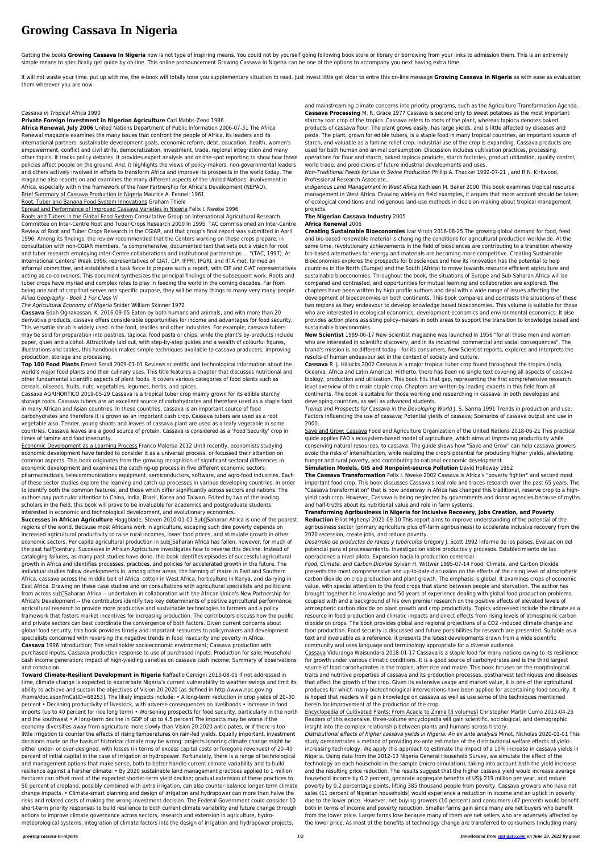# **Growing Cassava In Nigeria**

Getting the books Growing Cassava In Nigeria now is not type of inspiring means. You could not by yourself going following book store or library or borrowing from your links to admission them. This is an extremely simple means to specifically get guide by on-line. This online pronouncement Growing Cassava In Nigeria can be one of the options to accompany you next having extra time.

It will not waste your time. put up with me, the e-book will totally tone you supplementary situation to read. Just invest little get older to entre this on-line message Growing Cassava In Nigeria as with ease as evaluatio them wherever you are now.

### Cassava in Tropical Africa 1990

#### **Private Foreign Investment in Nigerian Agriculture** Carl Mabbs-Zeno 1986

**Africa Renewal, July 2006** United Nations Department of Public Information 2006-07-31 The Africa Renewal magazine examines the many issues that confront the people of Africa, its leaders and its international partners: sustainable development goals, economic reform, debt, education, health, women's empowerment, conflict and civil strife, democratization, investment, trade, regional integration and many other topics. It tracks policy debates. It provides expert analysis and on-the-spot reporting to show how those policies affect people on the ground. And, it highlights the views of policy-makers, non-governmental leaders and others actively involved in efforts to transform Africa and improve its prospects in the world today. The magazine also reports on and examines the many different aspects of the United Nations' involvement in Africa, especially within the framework of the New Partnership for Africa's Development (NEPAD).

Brief Summary of Cassava Production in Nigeria Maurice A. Fennell 1961

Root, Tuber and Banana Food System Innovations Graham Thiele

Spread and Performance of Improved Cassava Varieties in Nigeria Felix I. Nweke 1996

Roots and Tubers in the Global Food System Consultative Group on International Agricultural Research. Committee on Inter-Centre Root and Tuber Crops Research 2000 In 1995, TAC commissioned an Inter-Centre Review of Root and Tuber Crops Research in the CGIAR, and that group's final report was submitted in April 1996. Among its findings, the review recommended that the Centers working on these crops prepare, in consultation with non-CGIAR members, "a comprehensive, documented text that sets out a vision for root and tuber research employing inter-Centre collaborations and institutional partnerships ... "(TAC, 1997). At International Centers' Week 1996, representatives of CIAT, CIP, IFPRI, IPGRI, and IITA met, formed an informal committee, and established a task force to prepare such a report, with CIP and CIAT representatives acting as co-convenors. This document synthesizes the principal findings of the subsequent work. Roots and tuber crops have myriad and complex roles to play in feeding the world in the coming decades. Far from being one sort of crop that serves one specific purpose, they will be many things to many-very many-people. Allied Geography - Book 1 For Class Vi

# The Agricultural Economy of Nigeria Snider William Skinner 1972

**Cassava** Edoh Ognakossan, K. 2016-09-05 Eaten by both humans and animals, and with more than 20 derivative products, cassava offers considerable opportunities for income and advantages for food security. This versatile shrub is widely used in the food, textiles and other industries. For example, cassava tubers may be sold for preparation into pastries, tapioca, food pasta or chips, while the plant's by-products include paper, glues and alcohol. Attractively laid out, with step-by-step guides and a wealth of colourful figures, illustrations and tables, this handbook makes simple techniques available to cassava producers, improving production, storage and processing.

**Successes in African Agriculture** Haggblade, Steven 2010-01-01 Sub<sub>[</sub>Saharan Africa is one of the poorest regions of the world. Because most Africans work in agriculture, escaping such dire poverty depends on increased agricultural productivity to raise rural incomes, lower food prices, and stimulate growth in other economic sectors. Per capita agricultural production in sub Saharan Africa has fallen, however, for much of the past half century. Successes in African Agriculture investigates how to reverse this decline. Instead of cataloging failures, as many past studies have done, this book identifies episodes of successful agricultural growth in Africa and identifies processes, practices, and policies for accelerated growth in the future. The individual studies follow developments in, among other areas, the farming of maize in East and Southern Africa, cassava across the middle belt of Africa, cotton in West Africa, horticulture in Kenya, and dairying in East Africa. Drawing on these case studies and on consultations with agricultural specialists and politicians from across sub Saharan Africa -- undertaken in collaboration with the African Union's New Partnership for Africa's Development -- the contributors identify two key determinants of positive agricultural performance: agricultural research to provide more productive and sustainable technologies to farmers and a policy framework that fosters market incentives for increasing production. The contributors discuss how the public and private sectors can best coordinate the convergence of both factors. Given current concerns about global food security, this book provides timely and important resources to policymakers and development specialists concerned with reversing the negative trends in food insecurity and poverty in Africa. **Cassava** 1996 Introduction; The smallholder socioeconomic environment; Cassava production with purchased inputs; Cassava production response to use of purchased inputs; Production for sale; Household cash income generation; Impact of high-yielding varieties on cassava cash income; Summary of observations and conclusion.

**Top 100 Food Plants** Ernest Small 2009-01-01 Reviews scientific and technological information about the world's major food plants and their culinary uses. This title features a chapter that discusses nutritional and other fundamental scientific aspects of plant foods. It covers various categories of food plants such as cereals, oilseeds, fruits, nuts, vegetables, legumes, herbs, and spices.

Cassava AGRIHORTICO 2019-05-29 Cassava is a tropical tuber crop mainly grown for its edible starchy storage roots. Cassava tubers are an excellent source of carbohydrates and therefore used as a staple food in many African and Asian countries. In these countries, cassava is an important source of food carbohydrates and therefore it is grown as an important cash crop. Cassava tubers are used as a root vegetable also. Tender, young shoots and leaves of cassava plant are used as a leafy vegetable in some countries. Cassava leaves are a good source of protein. Cassava is considered as a 'Food Security' crop in times of famine and food insecurity.

Economic Development as a Learning Process Franco Malerba 2012 Until recently, economists studying economic development have tended to consider it as a universal process, or focussed their attention on

common aspects. This book originates from the growing recognition of significant sectoral differences in economic development and examines the catching-up process in five different economic sectors: pharmaceuticals, telecommunications equipment, semiconductors, software, and agro-food industries. Each of these sector studies explore the learning and catch-up processes in various developing countries, in order to identify both the common features, and those which differ significantly across sectors and nations. The authors pay particular attention to China, India, Brazil, Korea and Taiwan. Edited by two of the leading scholars in the field, this book will prove to be invaluable for academics and postgraduate students interested in economic and technological development, and evolutionary economics.

**Toward Climate-Resilient Development in Nigeria** Raffaello Cervigni 2013-08-05 If not addressed in time, climate change is expected to exacerbate Nigeria's current vulnerability to weather swings and limit its ability to achieve and sustain the objectives of Vision 20:2020 [as defined in http://www.npc.gov.ng /home/doc.aspx?mCatID=68253]. The likely impacts include: • A long-term reduction in crop yields of 20–30 percent • Declining productivity of livestock, with adverse consequences on livelihoods • Increase in food imports (up to 40 percent for rice long term) • Worsening prospects for food security, particularly in the north and the southwest • A long-term decline in GDP of up to 4.5 percent The impacts may be worse if the economy diversifies away from agriculture more slowly than Vision 20:2020 anticipates, or if there is too little irrigation to counter the effects of rising temperatures on rain-fed yields. Equally important, investment decisions made on the basis of historical climate may be wrong: projects ignoring climate change might be either under- or over-designed, with losses (in terms of excess capital costs or foregone revenues) of 20–40 percent of initial capital in the case of irrigation or hydropower. Fortunately, there is a range of technological and management options that make sense, both to better handle current climate variability and to build resilience against a harsher climate: • By 2020 sustainable land management practices applied to 1 million hectares can offset most of the expected shorter-term yield decline; gradual extension of these practices to 50 percent of cropland, possibly combined with extra irrigation, can also counter-balance longer-term climate change impacts. • Climate-smart planning and design of irrigation and hydropower can more than halve the risks and related costs of making the wrong investment decision. The Federal Government could consider 10 short-term priority responses to build resilience to both current climate variability and future change through actions to improve climate governance across sectors, research and extension in agriculture, hydrometeorological systems; integration of climate factors into the design of irrigation and hydropower projects,

and mainstreaming climate concerns into priority programs, such as the Agriculture Transformation Agenda. **Cassava Processing** M. R. Grace 1977 Cassava is second only to sweet potatoes as the most important starchy root crop of the tropics. Cassava refers to roots of the plant, whereas tapioca denotes baked products of cassava flour. The plant grows easily, has large yields, and is little affected by diseases and pests. The plant, grown for edible tubers, is a staple food in many tropical countries, an important source of starch, and valuable as a famine relief crop. Industrial use of the crop is expanding. Cassava products are used for bath human and animal consumption. Discussion includes cultivation practices, processing operations for flour and starch, baked tapioca products, starch factories, product utilization, quality control, world trade, and predictions of future industrial developments and uses.

Non-Traditional Feeds for Use in Swine Production Phillip A. Thacker 1992-07-21 , and R.N. Kirkwood, Professional Research Associate,.

Indigenous Land Management in West Africa Kathleen M. Baker 2000 This book examines tropical resource management in West Africa. Drawing widely on field examples, it argues that more account should be taken of ecological conditions and indigenous land-use methods in decision-making about tropical management projects.

### **The Nigerian Cassava Industry** 2005 **Africa Renewal** 2006

**Creating Sustainable Bioeconomies** Ivar Virgin 2016-08-25 The growing global demand for food, feed and bio-based renewable material is changing the conditions for agricultural production worldwide. At the same time, revolutionary achievements in the field of biosciences are contributing to a transition whereby bio-based alternatives for energy and materials are becoming more competitive. Creating Sustainable Bioeconomies explores the prospects for biosciences and how its innovation has the potential to help countries in the North (Europe) and the South (Africa) to move towards resource efficient agriculture and sustainable bioeconomies. Throughout the book, the situations of Europe and Sub-Saharan Africa will be compared and contrasted, and opportunities for mutual learning and collaboration are explored. The chapters have been written by high profile authors and deal with a wide range of issues affecting the development of bioeconomies on both continents. This book compares and contrasts the situations of these two regions as they endeavour to develop knowledge based bioeconomies. This volume is suitable for those who are interested in ecological economics, development economics and environmental economics. It also provides action plans assisting policy-makers in both areas to support the transition to knowledge based and sustainable bioeconomies.

**New Scientist** 1989-06-17 New Scientist magazine was launched in 1956 "for all those men and women who are interested in scientific discovery, and in its industrial, commercial and social consequences". The brand's mission is no different today - for its consumers, New Scientist reports, explores and interprets the results of human endeavour set in the context of society and culture.

**Cassava** R. J. Hillocks 2002 Cassava is a major tropical tuber crop found throughout the tropics (India, Oceania, Africa and Latin America). Hitherto, there has been no single text covering all aspects of cassava biology, production and utilization. This book fills that gap, representing the first comprehensive research level overview of this main staple crop. Chapters are written by leading experts in this field from all continents. The book is suitable for those working and researching in cassava, in both developed and developing countries, as well as advanced students.

Trends and Prospects for Cassava in the Developing World J. S. Sarma 1991 Trends in production and use; Factors influencing the use of cassava; Potential yields of cassava; Scenarios of cassava output and use in 2000.

Save and Grow: Cassava Food and Agriculture Organization of the United Nations 2018-06-21 This practical guide applies FAO's ecosystem-based model of agriculture, which aims at improving productivity while conserving natural resources, to cassava. The guide shows how "Save and Grow" can help cassava growers avoid the risks of intensification, while realizing the crop's potential for producing higher yields, alleviating hunger and rural poverty, and contributing to national economic development.

**Simulation Models, GIS and Nonpoint-source Pollution** David Holloway 1992

**The Cassava Transformation** Felix I. Nweke 2002 Cassava is Africa's "poverty fighter" and second most important food crop. This book discusses Cassava's real role and traces research over the past 65 years. The "Cassava transformation" that is now underway in Africa has changed this traditional, reserve crop to a highyield cash crop. However, Cassava is being neglected by governments and donor agencies because of myths and half-truths about its nutritional value and role in farm systems.

**Transforming Agribusiness in Nigeria for Inclusive Recovery, Jobs Creation, and Poverty Reduction** Elliot Mghenyi 2021-09-10 This report aims to improve understanding of the potential of the agribusiness sector (primary agriculture plus off-farm agribusiness) to accelerate inclusive recovery from the 2020 recession, create jobs, and reduce poverty.

Desarrollo de productos de raíces y tubérculos Gregory J. Scott 1992 Informe de los paises. Evaluacion del potencial para el processamiento. Investigacion sobre productos y procesos. Establecimiento de las operaciones a nivel piloto. Expansion hacia la production comercial.

Food, Climate, and Carbon Dioxide Sylvan H. Wittwer 1995-07-14 Food, Climate, and Carbon Dioxide presents the most comprehensive and up-to-date discussion on the effects of the rising level of atmospheric carbon dioxide on crop production and plant growth. The emphasis is global. It examines crops of economic value, with special attention to the food crops that stand between people and starvation. The author has brought together his knowledge and 50 years of experience dealing with global food production problems, coupled with and a background of his own premier research on the positive effects of elevated levels of atmospheric carbon dioxide on plant growth and crop productivity. Topics addressed include the climate as a resource in food production and climatic impacts and direct effects from rising levels of atmospheric carbon dioxide on crops. The book provides global and regional projections of a CO2 -induced climate change and food production. Food security is discussed and future possibilities for research are presented. Suitable as a text and invaluable as a reference, it presents the latest developments drawn from a wide scientific community and uses language and terminology appropriate for a diverse audience.

Cassava Viduranga Waisundara 2018-01-17 Cassava is a staple food for many nations owing to its resilience for growth under various climatic conditions. It is a good source of carbohydrates and is the third largest source of food carbohydrates in the tropics, after rice and maize. This book focuses on the morphological traits and nutritive properties of cassava and its production processes, postharvest techniques and diseases that affect the growth of the crop. Given its extensive usage and market value, it is one of the agricultural produces for which many biotechnological interventions have been applied for ascertaining food security. It is hoped that readers will gain knowledge on cassava as well as use some of the techniques mentioned herein for improvement of the production of the crop.

Encyclopedia of Cultivated Plants: From Acacia to Zinnia [3 volumes] Christopher Martin Cumo 2013-04-25 Readers of this expansive, three-volume encyclopedia will gain scientific, sociological, and demographic insight into the complex relationship between plants and humans across history.

Distributional effects of higher cassava yields in Nigeria: An ex ante analysis Minot, Nicholas 2020-01-01 This study demonstrates a method of providing ex-ante estimates of the distributional welfare effects of yieldincreasing technology. We apply this approach to estimate the impact of a 10% increase in cassava yields in Nigeria. Using data from the 2012-13 Nigeria General Household Survey, we simulate the effect of the technology on each household in the sample (micro-simulation), taking into account both the yield increase and the resulting price reduction. The results suggest that the higher cassava yield would increase average household income by 0.2 percent, generate aggregate benefits of US\$ 219 million per year, and reduce poverty by 0.2 percentage points, lifting 385 thousand people from poverty. Cassava growers who have net sales (11 percent of Nigerian households) would experience a reduction in income and an uptick in poverty due to the lower price. However, net-buying growers (10 percent) and consumers (47 percent) would benefit both in terms of income and poverty reduction. Smaller farms gain since many are net buyers who benefit from the lower price. Larger farms lose because many of them are net sellers who are adversely affected by the lower price. As most of the benefits of technology change are transferred to consumers (including many